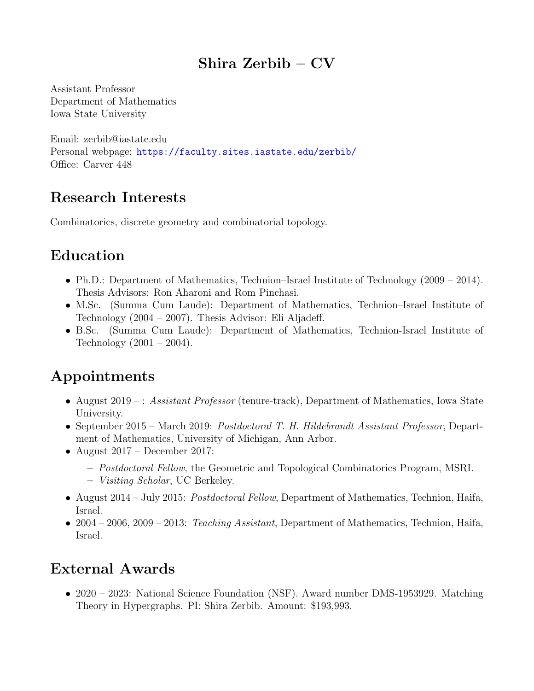## Shira Zerbib – CV

Assistant Professor Department of Mathematics Iowa State University

Email: zerbib@iastate.edu Personal webpage: <https://faculty.sites.iastate.edu/zerbib/> Office: Carver 448

## Research Interests

Combinatorics, discrete geometry and combinatorial topology.

# Education

- Ph.D.: Department of Mathematics, Technion–Israel Institute of Technology (2009 2014). Thesis Advisors: Ron Aharoni and Rom Pinchasi.
- M.Sc. (Summa Cum Laude): Department of Mathematics, Technion–Israel Institute of Technology (2004 – 2007). Thesis Advisor: Eli Aljadeff.
- B.Sc. (Summa Cum Laude): Department of Mathematics, Technion-Israel Institute of Technology  $(2001 - 2004)$ .

# Appointments

- August 2019 : Assistant Professor (tenure-track), Department of Mathematics, Iowa State University.
- September 2015 March 2019: Postdoctoral T. H. Hildebrandt Assistant Professor, Department of Mathematics, University of Michigan, Ann Arbor.
- August  $2017$  December 2017:
	- Postdoctoral Fellow, the Geometric and Topological Combinatorics Program, MSRI.
	- Visiting Scholar, UC Berkeley.
- August 2014 July 2015: *Postdoctoral Fellow*, Department of Mathematics, Technion, Haifa, Israel.
- 2004 2006, 2009 2013: Teaching Assistant, Department of Mathematics, Technion, Haifa, Israel.

## External Awards

• 2020 – 2023: National Science Foundation (NSF). Award number DMS-1953929. Matching Theory in Hypergraphs. PI: Shira Zerbib. Amount: \$193,993.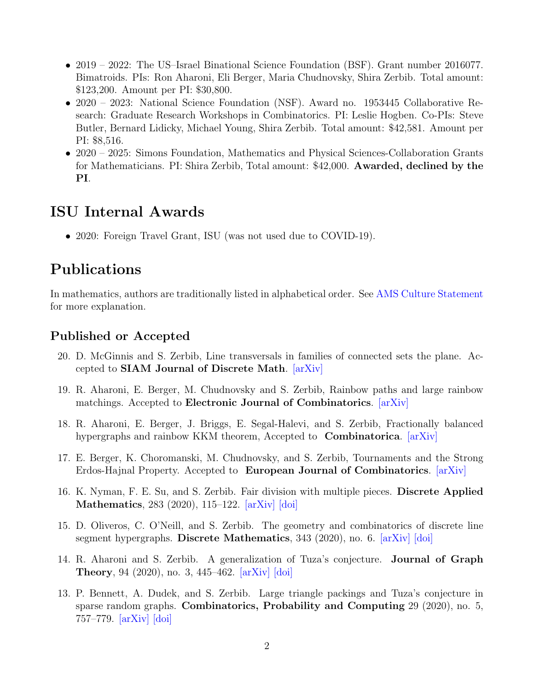- 2019 2022: The US-Israel Binational Science Foundation (BSF). Grant number 2016077. Bimatroids. PIs: Ron Aharoni, Eli Berger, Maria Chudnovsky, Shira Zerbib. Total amount: \$123,200. Amount per PI: \$30,800.
- 2020 2023: National Science Foundation (NSF). Award no. 1953445 Collaborative Research: Graduate Research Workshops in Combinatorics. PI: Leslie Hogben. Co-PIs: Steve Butler, Bernard Lidicky, Michael Young, Shira Zerbib. Total amount: \$42,581. Amount per PI: \$8,516.
- 2020 2025: Simons Foundation, Mathematics and Physical Sciences-Collaboration Grants for Mathematicians. PI: Shira Zerbib, Total amount: \$42,000. Awarded, declined by the PI.

## ISU Internal Awards

• 2020: Foreign Travel Grant, ISU (was not used due to COVID-19).

## Publications

In mathematics, authors are traditionally listed in alphabetical order. See [AMS Culture Statement](http://www.ams.org/profession/leaders/culture/JointResearchandItsPublicationfinal.pdf) for more explanation.

### Published or Accepted

- 20. D. McGinnis and S. Zerbib, Line transversals in families of connected sets the plane. Accepted to SIAM Journal of Discrete Math. [\[arXiv\]](https://arxiv.org/abs/2103.05565)
- 19. R. Aharoni, E. Berger, M. Chudnovsky and S. Zerbib, Rainbow paths and large rainbow matchings. Accepted to Electronic Journal of Combinatorics. [\[arXiv\]](https://arxiv.org/abs/2012.14992)
- 18. R. Aharoni, E. Berger, J. Briggs, E. Segal-Halevi, and S. Zerbib, Fractionally balanced hypergraphs and rainbow KKM theorem, Accepted to **Combinatorica**. [\[arXiv\]](https://arxiv.org/abs/2011.01053)
- 17. E. Berger, K. Choromanski, M. Chudnovsky, and S. Zerbib, Tournaments and the Strong Erdos-Hajnal Property. Accepted to European Journal of Combinatorics. [\[arXiv\]](https://arxiv.org/abs/2002.07248)
- 16. K. Nyman, F. E. Su, and S. Zerbib. Fair division with multiple pieces. Discrete Applied Mathematics, 283 (2020), 115–122. [\[arXiv\]](https://arxiv.org/abs/1710.09477) [\[doi\]](http://dx.doi.org/10.1016/j.dam.2019.12.018)
- 15. D. Oliveros, C. O'Neill, and S. Zerbib. The geometry and combinatorics of discrete line segment hypergraphs. Discrete Mathematics, 343 (2020), no. 6. [\[arXiv\]](https://arxiv.org/abs/1807.04826) [\[doi\]](http://dx.doi.org/10.1016/j.disc.2020.111825)
- 14. R. Aharoni and S. Zerbib. A generalization of Tuza's conjecture. Journal of Graph Theory, 94 (2020), no. 3, 445–462. [\[arXiv\]](https://arxiv.org/abs/1611.07497) [\[doi\]](http://dx.doi.org/10.1002/jgt.22533)
- 13. P. Bennett, A. Dudek, and S. Zerbib. Large triangle packings and Tuza's conjecture in sparse random graphs. Combinatorics, Probability and Computing 29 (2020), no. 5, 757–779. [\[arXiv\]](https://arxiv.org/abs/1810.11739) [\[doi\]](http://dx.doi.org/10.1017/s0963548320000115)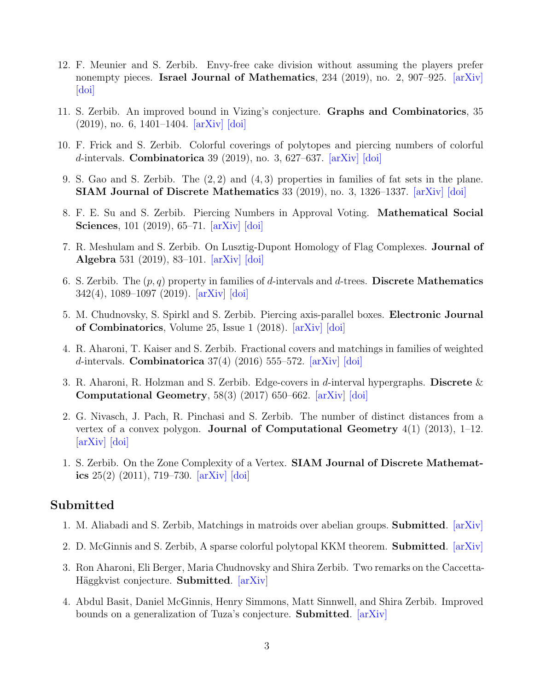- 12. F. Meunier and S. Zerbib. Envy-free cake division without assuming the players prefer nonempty pieces. Israel Journal of Mathematics,  $234$  (2019), no. 2,  $907-925$ .  $\ar{x}$ [\[doi\]](http://dx.doi.org/10.1007/s11856-019-1939-6)
- 11. S. Zerbib. An improved bound in Vizing's conjecture. Graphs and Combinatorics, 35  $(2019)$ , no. 6, 1401–1404.  $\vert \text{arXiv} \vert$   $\vert \text{doi} \vert$
- 10. F. Frick and S. Zerbib. Colorful coverings of polytopes and piercing numbers of colorful d-intervals. Combinatorica 39 (2019), no. 3, 627–637.  $arXiv$  [\[doi\]](http://dx.doi.org/10.1007/s00493-018-3891-1)
- 9. S. Gao and S. Zerbib. The (2, 2) and (4, 3) properties in families of fat sets in the plane. SIAM Journal of Discrete Mathematics 33 (2019), no. 3, 1326–1337. [\[arXiv\]](https://arxiv.org/abs/1711.05308) [\[doi\]](http://dx.doi.org/10.1137/17M1157088)
- 8. F. E. Su and S. Zerbib. Piercing Numbers in Approval Voting. Mathematical Social Sciences, 101 (2019), 65–71. [\[arXiv\]](https://arxiv.org/abs/1710.09493) [\[doi\]](http://dx.doi.org/10.1016/j.mathsocsci.2019.06.007)
- 7. R. Meshulam and S. Zerbib. On Lusztig-Dupont Homology of Flag Complexes. Journal of Algebra 531 (2019), 83–101. [\[arXiv\]](https://arxiv.org/abs/1807.05297) [\[doi\]](http://dx.doi.org/10.1016/j.jalgebra.2019.04.019)
- 6. S. Zerbib. The  $(p, q)$  property in families of d-intervals and d-trees. Discrete Mathematics 342(4), 1089–1097 (2019). [\[arXiv\]](https://arxiv.org/abs/1703.02939) [\[doi\]](http://dx.doi.org/10.1016/j.disc.2018.12.019)
- 5. M. Chudnovsky, S. Spirkl and S. Zerbib. Piercing axis-parallel boxes. Electronic Journal of Combinatorics, Volume 25, Issue 1 (2018). [\[arXiv\]](https://arxiv.org/abs/1705.00089) [\[doi\]](http://dx.doi.org/10.37236/7034)
- 4. R. Aharoni, T. Kaiser and S. Zerbib. Fractional covers and matchings in families of weighted d-intervals. Combinatorica  $37(4)$  (2016) 555–572. [\[arXiv\]](https://arxiv.org/abs/1402.2064) [\[doi\]](http://dx.doi.org/10.1007/s00493-016-3174-7)
- 3. R. Aharoni, R. Holzman and S. Zerbib. Edge-covers in d-interval hypergraphs. Discrete  $\&$ Computational Geometry, 58(3) (2017) 650–662. [\[arXiv\]](https://arxiv.org/abs/1605.01942) [\[doi\]](http://dx.doi.org/10.1007/s00454-017-9923-6)
- 2. G. Nivasch, J. Pach, R. Pinchasi and S. Zerbib. The number of distinct distances from a vertex of a convex polygon. **Journal of Computational Geometry**  $4(1)$  (2013), 1–12. [\[arXiv\]](https://arxiv.org/abs/1207.1266) [\[doi\]](http://dx.doi.org/10.1145/997817.997829)
- 1. S. Zerbib. On the Zone Complexity of a Vertex. SIAM Journal of Discrete Mathematics  $25(2)$   $(2011)$ ,  $719-730$ .  $[arXiv]$   $[doi]$

#### Submitted

- 1. M. Aliabadi and S. Zerbib, Matchings in matroids over abelian groups. Submitted. [\[arXiv\]](https://arxiv.org/abs/2202.07719)
- 2. D. McGinnis and S. Zerbib, A sparse colorful polytopal KKM theorem. **Submitted**. [\[arXiv\]](https://arxiv.org/abs/2112.14421)
- 3. Ron Aharoni, Eli Berger, Maria Chudnovsky and Shira Zerbib. Two remarks on the Caccetta-Häggkvist conjecture. Submitted. [\[arXiv\]](https://arxiv.org/abs/2110.11183)
- 4. Abdul Basit, Daniel McGinnis, Henry Simmons, Matt Sinnwell, and Shira Zerbib. Improved bounds on a generalization of Tuza's conjecture. Submitted. [\[arXiv\]](https://arxiv.org/abs/2110.10095)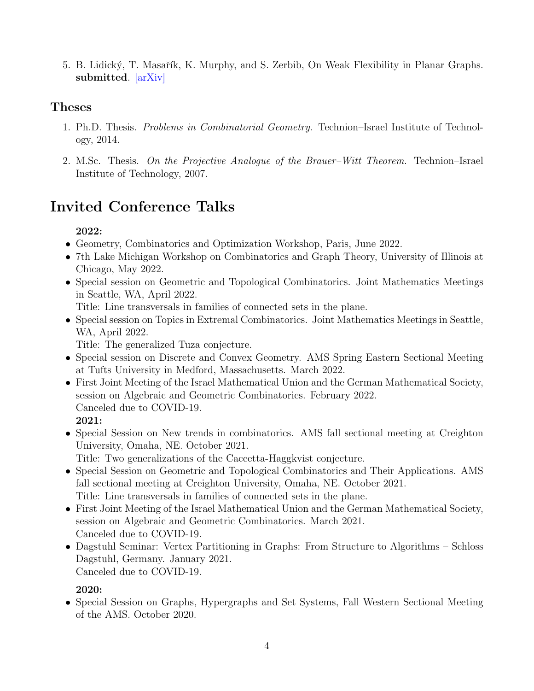5. B. Lidický, T. Masařík, K. Murphy, and S. Zerbib, On Weak Flexibility in Planar Graphs. submitted. [\[arXiv\]](https://arxiv.org/abs/2009.07932)

### Theses

- 1. Ph.D. Thesis. Problems in Combinatorial Geometry. Technion–Israel Institute of Technology, 2014.
- 2. M.Sc. Thesis. On the Projective Analogue of the Brauer–Witt Theorem. Technion–Israel Institute of Technology, 2007.

# Invited Conference Talks

### 2022:

- Geometry, Combinatorics and Optimization Workshop, Paris, June 2022.
- 7th Lake Michigan Workshop on Combinatorics and Graph Theory, University of Illinois at Chicago, May 2022.
- Special session on Geometric and Topological Combinatorics. Joint Mathematics Meetings in Seattle, WA, April 2022.

Title: Line transversals in families of connected sets in the plane.

• Special session on Topics in Extremal Combinatorics. Joint Mathematics Meetings in Seattle, WA, April 2022.

Title: The generalized Tuza conjecture.

- Special session on Discrete and Convex Geometry. AMS Spring Eastern Sectional Meeting at Tufts University in Medford, Massachusetts. March 2022.
- First Joint Meeting of the Israel Mathematical Union and the German Mathematical Society, session on Algebraic and Geometric Combinatorics. February 2022. Canceled due to COVID-19. 2021:
- Special Session on New trends in combinatorics. AMS fall sectional meeting at Creighton University, Omaha, NE. October 2021.

Title: Two generalizations of the Caccetta-Haggkvist conjecture.

- Special Session on Geometric and Topological Combinatorics and Their Applications. AMS fall sectional meeting at Creighton University, Omaha, NE. October 2021. Title: Line transversals in families of connected sets in the plane.
- First Joint Meeting of the Israel Mathematical Union and the German Mathematical Society, session on Algebraic and Geometric Combinatorics. March 2021. Canceled due to COVID-19.
- Dagstuhl Seminar: Vertex Partitioning in Graphs: From Structure to Algorithms Schloss Dagstuhl, Germany. January 2021. Canceled due to COVID-19.

### 2020:

• Special Session on Graphs, Hypergraphs and Set Systems, Fall Western Sectional Meeting of the AMS. October 2020.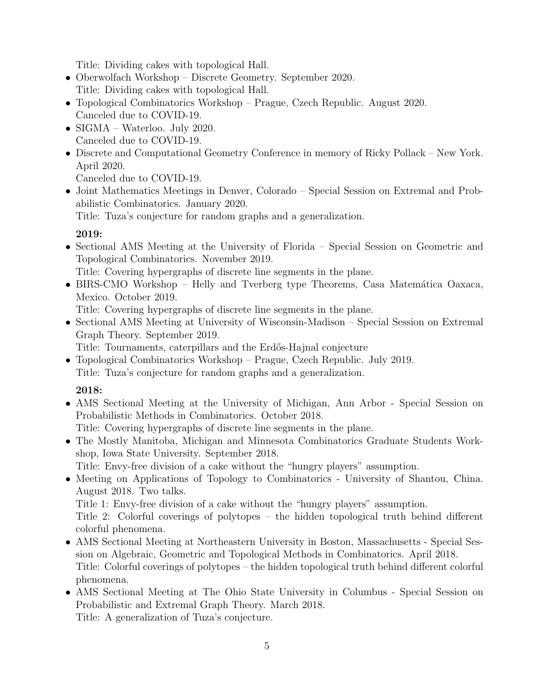Title: Dividing cakes with topological Hall.

- Oberwolfach Workshop Discrete Geometry. September 2020. Title: Dividing cakes with topological Hall.
- Topological Combinatorics Workshop Prague, Czech Republic. August 2020. Canceled due to COVID-19.
- SIGMA Waterloo. July 2020. Canceled due to COVID-19.
- Discrete and Computational Geometry Conference in memory of Ricky Pollack New York. April 2020.

Canceled due to COVID-19.

• Joint Mathematics Meetings in Denver, Colorado – Special Session on Extremal and Probabilistic Combinatorics. January 2020.

Title: Tuza's conjecture for random graphs and a generalization.

### 2019:

• Sectional AMS Meeting at the University of Florida – Special Session on Geometric and Topological Combinatorics. November 2019.

Title: Covering hypergraphs of discrete line segments in the plane.

• BIRS-CMO Workshop – Helly and Tverberg type Theorems, Casa Matemática Oaxaca, Mexico. October 2019.

Title: Covering hypergraphs of discrete line segments in the plane.

• Sectional AMS Meeting at University of Wisconsin-Madison – Special Session on Extremal Graph Theory. September 2019.

Title: Tournaments, caterpillars and the Erd˝os-Hajnal conjecture

• Topological Combinatorics Workshop – Prague, Czech Republic. July 2019. Title: Tuza's conjecture for random graphs and a generalization.

### 2018:

• AMS Sectional Meeting at the University of Michigan, Ann Arbor - Special Session on Probabilistic Methods in Combinatorics. October 2018.

Title: Covering hypergraphs of discrete line segments in the plane.

• The Mostly Manitoba, Michigan and Minnesota Combinatorics Graduate Students Workshop, Iowa State University. September 2018.

Title: Envy-free division of a cake without the "hungry players" assumption.

• Meeting on Applications of Topology to Combinatorics - University of Shantou, China. August 2018. Two talks.

Title 1: Envy-free division of a cake without the "hungry players" assumption.

Title 2: Colorful coverings of polytopes – the hidden topological truth behind different colorful phenomena.

- AMS Sectional Meeting at Northeastern University in Boston, Massachusetts Special Session on Algebraic, Geometric and Topological Methods in Combinatorics. April 2018. Title: Colorful coverings of polytopes – the hidden topological truth behind different colorful phenomena.
- AMS Sectional Meeting at The Ohio State University in Columbus Special Session on Probabilistic and Extremal Graph Theory. March 2018.

Title: A generalization of Tuza's conjecture.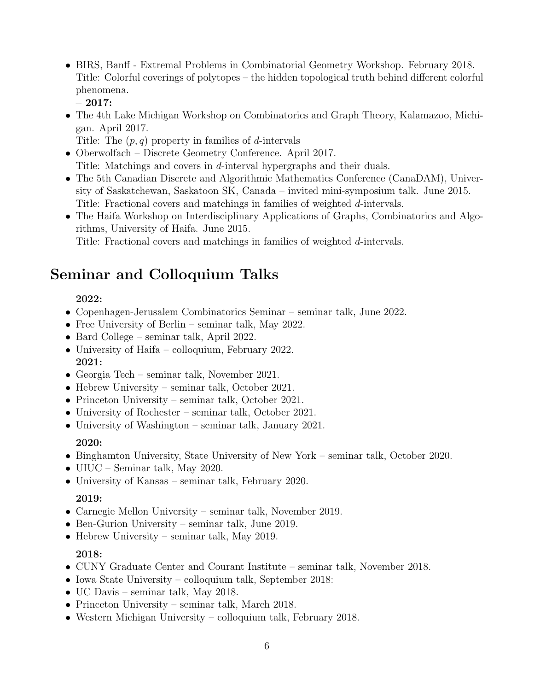- BIRS, Banff Extremal Problems in Combinatorial Geometry Workshop. February 2018. Title: Colorful coverings of polytopes – the hidden topological truth behind different colorful phenomena.
	- 2017:
- The 4th Lake Michigan Workshop on Combinatorics and Graph Theory, Kalamazoo, Michigan. April 2017.
	- Title: The  $(p, q)$  property in families of d-intervals
- Oberwolfach Discrete Geometry Conference. April 2017. Title: Matchings and covers in d-interval hypergraphs and their duals.
- The 5th Canadian Discrete and Algorithmic Mathematics Conference (CanaDAM), University of Saskatchewan, Saskatoon SK, Canada – invited mini-symposium talk. June 2015. Title: Fractional covers and matchings in families of weighted d-intervals.
- The Haifa Workshop on Interdisciplinary Applications of Graphs, Combinatorics and Algorithms, University of Haifa. June 2015.

Title: Fractional covers and matchings in families of weighted d-intervals.

## Seminar and Colloquium Talks

### 2022:

- Copenhagen-Jerusalem Combinatorics Seminar seminar talk, June 2022.
- Free University of Berlin seminar talk, May 2022.
- Bard College seminar talk, April 2022.
- University of Haifa colloquium, February 2022. 2021:
- Georgia Tech seminar talk, November 2021.
- Hebrew University seminar talk, October 2021.
- Princeton University seminar talk, October 2021.
- University of Rochester seminar talk, October 2021.
- University of Washington seminar talk, January 2021.

### 2020:

- Binghamton University, State University of New York seminar talk, October 2020.
- UIUC Seminar talk, May 2020.
- University of Kansas seminar talk, February 2020.

### 2019:

- Carnegie Mellon University seminar talk, November 2019.
- Ben-Gurion University seminar talk, June 2019.
- Hebrew University seminar talk, May 2019.

### 2018:

- CUNY Graduate Center and Courant Institute seminar talk, November 2018.
- Iowa State University colloquium talk, September 2018:
- UC Davis seminar talk, May 2018.
- Princeton University seminar talk, March 2018.
- Western Michigan University colloquium talk, February 2018.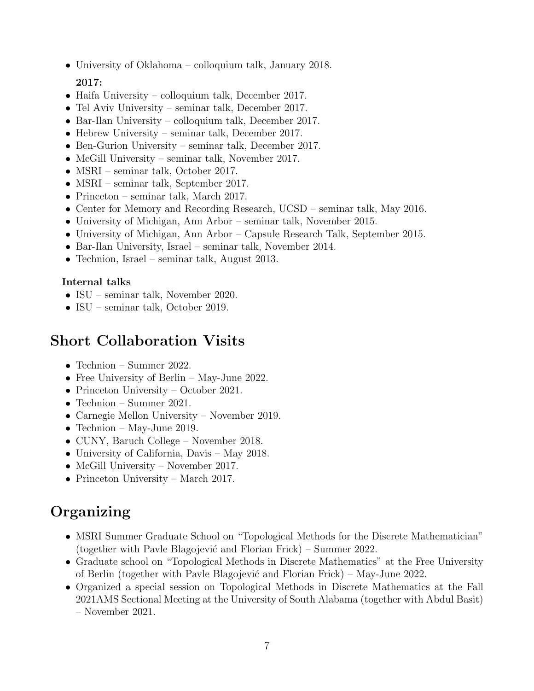• University of Oklahoma – colloquium talk, January 2018.

#### 2017:

- Haifa University colloquium talk, December 2017.
- Tel Aviv University seminar talk, December 2017.
- Bar-Ilan University colloquium talk, December 2017.
- Hebrew University seminar talk, December 2017.
- Ben-Gurion University seminar talk, December 2017.
- McGill University seminar talk, November 2017.
- MSRI seminar talk, October 2017.
- MSRI seminar talk, September 2017.
- Princeton seminar talk, March 2017.
- Center for Memory and Recording Research, UCSD seminar talk, May 2016.
- University of Michigan, Ann Arbor seminar talk, November 2015.
- University of Michigan, Ann Arbor Capsule Research Talk, September 2015.
- Bar-Ilan University, Israel seminar talk, November 2014.
- Technion, Israel seminar talk, August 2013.

#### Internal talks

- ISU seminar talk, November 2020.
- ISU seminar talk, October 2019.

## Short Collaboration Visits

- Technion Summer 2022.
- Free University of Berlin May-June 2022.
- Princeton University October 2021.
- Technion Summer 2021.
- Carnegie Mellon University November 2019.
- Technion May-June 2019.
- CUNY, Baruch College November 2018.
- University of California, Davis May 2018.
- McGill University November 2017.
- Princeton University March 2017.

## Organizing

- MSRI Summer Graduate School on "Topological Methods for the Discrete Mathematician" (together with Pavle Blagojević and Florian Frick) – Summer 2022.
- Graduate school on "Topological Methods in Discrete Mathematics" at the Free University of Berlin (together with Pavle Blagojevi´c and Florian Frick) – May-June 2022.
- Organized a special session on Topological Methods in Discrete Mathematics at the Fall 2021AMS Sectional Meeting at the University of South Alabama (together with Abdul Basit) – November 2021.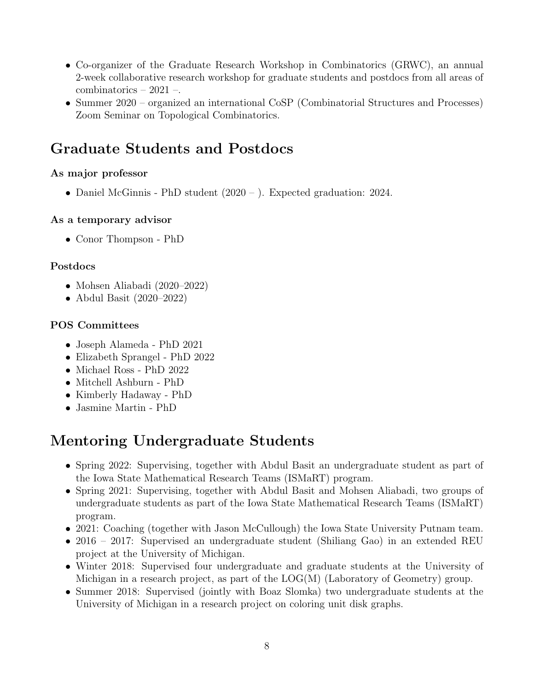- Co-organizer of the Graduate Research Workshop in Combinatorics (GRWC), an annual 2-week collaborative research workshop for graduate students and postdocs from all areas of combinatorics – 2021 –.
- Summer 2020 organized an international CoSP (Combinatorial Structures and Processes) Zoom Seminar on Topological Combinatorics.

## Graduate Students and Postdocs

### As major professor

• Daniel McGinnis - PhD student (2020 – ). Expected graduation: 2024.

#### As a temporary advisor

• Conor Thompson - PhD

### Postdocs

- Mohsen Aliabadi (2020–2022)
- Abdul Basit (2020–2022)

### POS Committees

- Joseph Alameda PhD 2021
- Elizabeth Sprangel PhD 2022
- Michael Ross PhD 2022
- Mitchell Ashburn PhD
- Kimberly Hadaway PhD
- Jasmine Martin PhD

## Mentoring Undergraduate Students

- Spring 2022: Supervising, together with Abdul Basit an undergraduate student as part of the Iowa State Mathematical Research Teams (ISMaRT) program.
- Spring 2021: Supervising, together with Abdul Basit and Mohsen Aliabadi, two groups of undergraduate students as part of the Iowa State Mathematical Research Teams (ISMaRT) program.
- 2021: Coaching (together with Jason McCullough) the Iowa State University Putnam team.
- 2016 2017: Supervised an undergraduate student (Shiliang Gao) in an extended REU project at the University of Michigan.
- Winter 2018: Supervised four undergraduate and graduate students at the University of Michigan in a research project, as part of the LOG(M) (Laboratory of Geometry) group.
- Summer 2018: Supervised (jointly with Boaz Slomka) two undergraduate students at the University of Michigan in a research project on coloring unit disk graphs.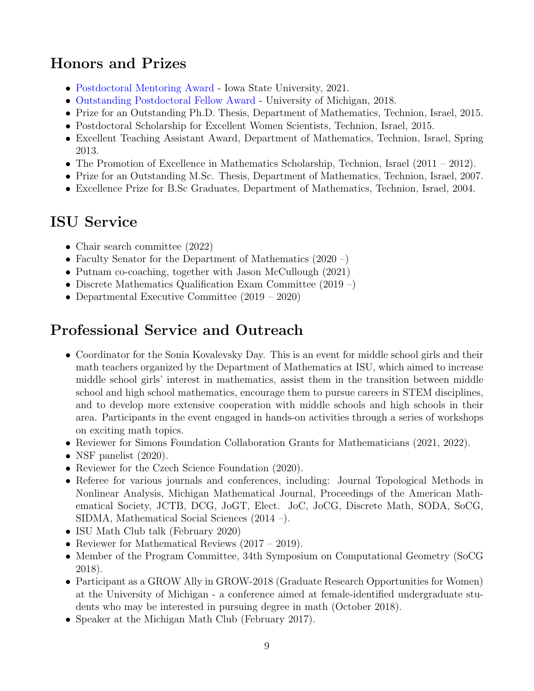## Honors and Prizes

- [Postdoctoral Mentoring Award](https://www.grad-college.iastate.edu/postdoc/awards/mentoring/) Iowa State University, 2021.
- [Outstanding Postdoctoral Fellow Award](https://umpda.rackham.umich.edu/award/opfa-awardees-2018/) University of Michigan, 2018.
- Prize for an Outstanding Ph.D. Thesis, Department of Mathematics, Technion, Israel, 2015.
- Postdoctoral Scholarship for Excellent Women Scientists, Technion, Israel, 2015.
- Excellent Teaching Assistant Award, Department of Mathematics, Technion, Israel, Spring 2013.
- The Promotion of Excellence in Mathematics Scholarship, Technion, Israel (2011 2012).
- Prize for an Outstanding M.Sc. Thesis, Department of Mathematics, Technion, Israel, 2007.
- Excellence Prize for B.Sc Graduates, Department of Mathematics, Technion, Israel, 2004.

## ISU Service

- Chair search committee (2022)
- Faculty Senator for the Department of Mathematics (2020 –)
- Putnam co-coaching, together with Jason McCullough (2021)
- Discrete Mathematics Qualification Exam Committee (2019 –)
- Departmental Executive Committee  $(2019 2020)$

## Professional Service and Outreach

- Coordinator for the Sonia Kovalevsky Day. This is an event for middle school girls and their math teachers organized by the Department of Mathematics at ISU, which aimed to increase middle school girls' interest in mathematics, assist them in the transition between middle school and high school mathematics, encourage them to pursue careers in STEM disciplines, and to develop more extensive cooperation with middle schools and high schools in their area. Participants in the event engaged in hands-on activities through a series of workshops on exciting math topics.
- Reviewer for Simons Foundation Collaboration Grants for Mathematicians (2021, 2022).
- NSF panelist  $(2020)$ .
- Reviewer for the Czech Science Foundation (2020).
- Referee for various journals and conferences, including: Journal Topological Methods in Nonlinear Analysis, Michigan Mathematical Journal, Proceedings of the American Mathematical Society, JCTB, DCG, JoGT, Elect. JoC, JoCG, Discrete Math, SODA, SoCG, SIDMA, Mathematical Social Sciences (2014 –).
- ISU Math Club talk (February 2020)
- Reviewer for Mathematical Reviews (2017 2019).
- Member of the Program Committee, 34th Symposium on Computational Geometry (SoCG 2018).
- Participant as a GROW Ally in GROW-2018 (Graduate Research Opportunities for Women) at the University of Michigan - a conference aimed at female-identified undergraduate students who may be interested in pursuing degree in math (October 2018).
- Speaker at the Michigan Math Club (February 2017).